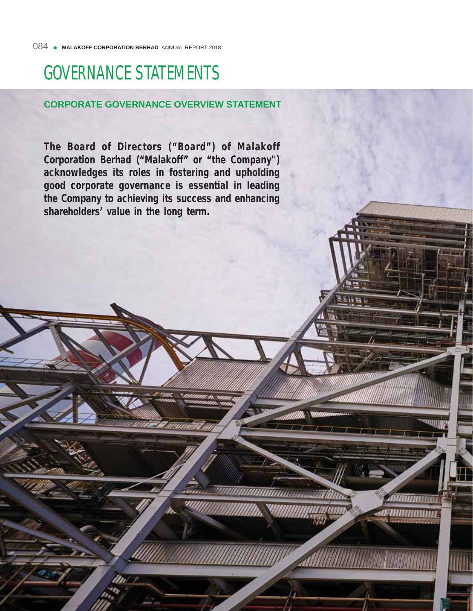# GOVERNANCE STATEMENTS

# **CORPORATE GOVERNANCE OVERVIEW STATEMENT**

**The Board of Directors ("Board") of Malakoff Corporation Berhad ("Malakoff" or "the Company") acknowledges its roles in fostering and upholding good corporate governance is essential in leading the Company to achieving its success and enhancing shareholders' value in the long term.** 

uuuummuunnaa T

Ammannin

*ar amananan*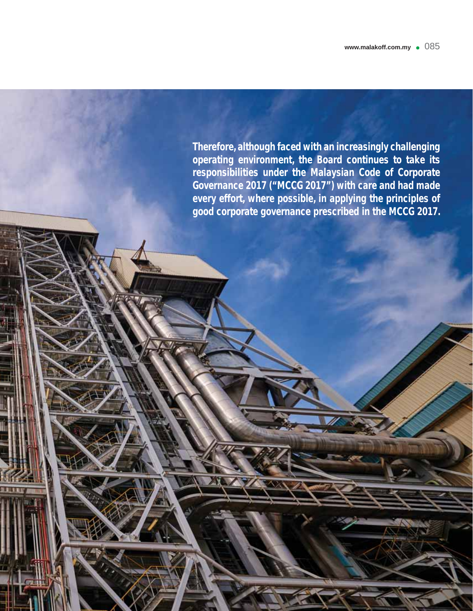**Therefore, although faced with an increasingly challenging operating environment, the Board continues to take its responsibilities under the Malaysian Code of Corporate Governance 2017 ("MCCG 2017") with care and had made every effort, where possible, in applying the principles of good corporate governance prescribed in the MCCG 2017.**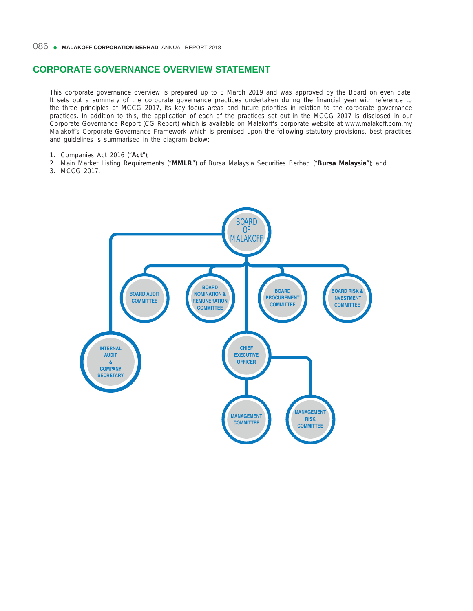This corporate governance overview is prepared up to 8 March 2019 and was approved by the Board on even date. It sets out a summary of the corporate governance practices undertaken during the financial year with reference to the three principles of MCCG 2017, its key focus areas and future priorities in relation to the corporate governance practices. In addition to this, the application of each of the practices set out in the MCCG 2017 is disclosed in our Corporate Governance Report (CG Report) which is available on Malakoff's corporate website at www.malakoff.com.my Malakoff's Corporate Governance Framework which is premised upon the following statutory provisions, best practices and guidelines is summarised in the diagram below:

- 1. Companies Act 2016 ("**Act**");
- 2. Main Market Listing Requirements ("**MMLR**") of Bursa Malaysia Securities Berhad ("**Bursa Malaysia**"); and
- 3. MCCG 2017.

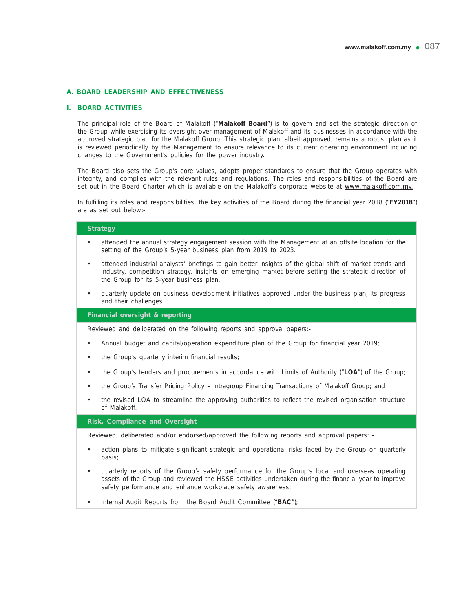## **A. BOARD LEADERSHIP AND EFFECTIVENESS**

#### **I. BOARD ACTIVITIES**

 The principal role of the Board of Malakoff ("**Malakoff Board**") is to govern and set the strategic direction of the Group while exercising its oversight over management of Malakoff and its businesses in accordance with the approved strategic plan for the Malakoff Group. This strategic plan, albeit approved, remains a robust plan as it is reviewed periodically by the Management to ensure relevance to its current operating environment including changes to the Government's policies for the power industry.

 The Board also sets the Group's core values, adopts proper standards to ensure that the Group operates with integrity, and complies with the relevant rules and regulations. The roles and responsibilities of the Board are set out in the Board Charter which is available on the Malakoff's corporate website at www.malakoff.com.my.

In fulfilling its roles and responsibilities, the key activities of the Board during the financial year 2018 ("FY2018") are as set out below:-

## **Strategy**

- attended the annual strategy engagement session with the Management at an offsite location for the setting of the Group's 5-year business plan from 2019 to 2023.
- attended industrial analysts' briefings to gain better insights of the global shift of market trends and industry, competition strategy, insights on emerging market before setting the strategic direction of the Group for its 5-year business plan.
- quarterly update on business development initiatives approved under the business plan, its progress and their challenges.

#### **Financial oversight & reporting**

Reviewed and deliberated on the following reports and approval papers:-

- Annual budget and capital/operation expenditure plan of the Group for financial year 2019;
- the Group's quarterly interim financial results;
- the Group's tenders and procurements in accordance with Limits of Authority ("**LOA**") of the Group;
- the Group's Transfer Pricing Policy Intragroup Financing Transactions of Malakoff Group; and
- the revised LOA to streamline the approving authorities to reflect the revised organisation structure of Malakoff.

#### **Risk, Compliance and Oversight**

Reviewed, deliberated and/or endorsed/approved the following reports and approval papers: -

- action plans to mitigate significant strategic and operational risks faced by the Group on quarterly basis;
- quarterly reports of the Group's safety performance for the Group's local and overseas operating assets of the Group and reviewed the HSSE activities undertaken during the financial year to improve safety performance and enhance workplace safety awareness;
- Internal Audit Reports from the Board Audit Committee ("**BAC**");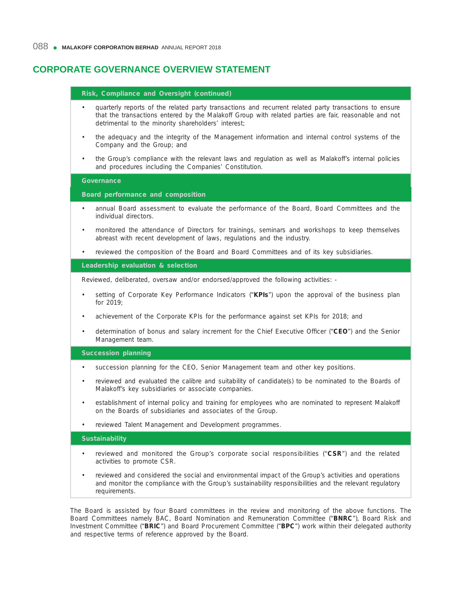requirements.

# **CORPORATE GOVERNANCE OVERVIEW STATEMENT**

| Risk, Compliance and Oversight (continued)                                                                                                                                                                                                                                          |  |
|-------------------------------------------------------------------------------------------------------------------------------------------------------------------------------------------------------------------------------------------------------------------------------------|--|
| quarterly reports of the related party transactions and recurrent related party transactions to ensure<br>$\bullet$<br>that the transactions entered by the Malakoff Group with related parties are fair, reasonable and not<br>detrimental to the minority shareholders' interest; |  |
| the adequacy and the integrity of the Management information and internal control systems of the<br>$\bullet$<br>Company and the Group; and                                                                                                                                         |  |
| the Group's compliance with the relevant laws and regulation as well as Malakoff's internal policies<br>and procedures including the Companies' Constitution.                                                                                                                       |  |
| <b>Governance</b>                                                                                                                                                                                                                                                                   |  |
| Board performance and composition                                                                                                                                                                                                                                                   |  |
| annual Board assessment to evaluate the performance of the Board, Board Committees and the<br>$\bullet$<br>individual directors.                                                                                                                                                    |  |
| monitored the attendance of Directors for trainings, seminars and workshops to keep themselves<br>$\bullet$<br>abreast with recent development of laws, regulations and the industry.                                                                                               |  |
| reviewed the composition of the Board and Board Committees and of its key subsidiaries.<br>$\bullet$                                                                                                                                                                                |  |
| Leadership evaluation & selection                                                                                                                                                                                                                                                   |  |
| Reviewed, deliberated, oversaw and/or endorsed/approved the following activities: -                                                                                                                                                                                                 |  |
| setting of Corporate Key Performance Indicators ("KPIs") upon the approval of the business plan<br>$\bullet$<br>for 2019:                                                                                                                                                           |  |
| achievement of the Corporate KPIs for the performance against set KPIs for 2018; and<br>$\bullet$                                                                                                                                                                                   |  |
| determination of bonus and salary increment for the Chief Executive Officer ("CEO") and the Senior<br>٠<br>Management team.                                                                                                                                                         |  |
| <b>Succession planning</b>                                                                                                                                                                                                                                                          |  |
| succession planning for the CEO, Senior Management team and other key positions.<br>$\bullet$                                                                                                                                                                                       |  |
| reviewed and evaluated the calibre and suitability of candidate(s) to be nominated to the Boards of<br>Malakoff's key subsidiaries or associate companies.                                                                                                                          |  |
| establishment of internal policy and training for employees who are nominated to represent Malakoff<br>$\bullet$<br>on the Boards of subsidiaries and associates of the Group.                                                                                                      |  |
| reviewed Talent Management and Development programmes.<br>$\bullet$                                                                                                                                                                                                                 |  |
| <b>Sustainability</b>                                                                                                                                                                                                                                                               |  |
| reviewed and monitored the Group's corporate social responsibilities ("CSR") and the related<br>$\bullet$<br>activities to promote CSR.                                                                                                                                             |  |
| reviewed and considered the social and environmental impact of the Group's activities and operations<br>$\bullet$<br>and monitor the compliance with the Group's sustainability responsibilities and the relevant regulatory                                                        |  |

The Board is assisted by four Board committees in the review and monitoring of the above functions. The Board Committees namely BAC, Board Nomination and Remuneration Committee ("**BNRC**"), Board Risk and Investment Committee ("**BRIC**") and Board Procurement Committee ("**BPC**") work within their delegated authority and respective terms of reference approved by the Board.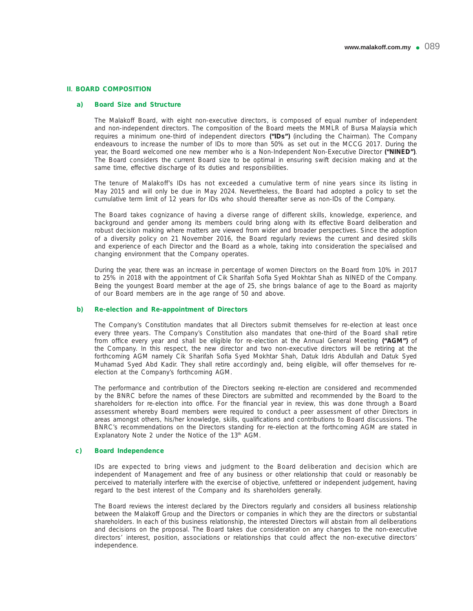# **II**. **BOARD COMPOSITION**

## **a) Board Size and Structure**

 The Malakoff Board, with eight non-executive directors, is composed of equal number of independent and non-independent directors. The composition of the Board meets the MMLR of Bursa Malaysia which requires a minimum one-third of independent directors **("IDs")** (including the Chairman). The Company endeavours to increase the number of IDs to more than 50% as set out in the MCCG 2017. During the year, the Board welcomed one new member who is a Non-Independent Non-Executive Director **("NINED")**. The Board considers the current Board size to be optimal in ensuring swift decision making and at the same time, effective discharge of its duties and responsibilities.

 The tenure of Malakoff's IDs has not exceeded a cumulative term of nine years since its listing in May 2015 and will only be due in May 2024. Nevertheless, the Board had adopted a policy to set the cumulative term limit of 12 years for IDs who should thereafter serve as non-IDs of the Company.

 The Board takes cognizance of having a diverse range of different skills, knowledge, experience, and background and gender among its members could bring along with its effective Board deliberation and robust decision making where matters are viewed from wider and broader perspectives. Since the adoption of a diversity policy on 21 November 2016, the Board regularly reviews the current and desired skills and experience of each Director and the Board as a whole, taking into consideration the specialised and changing environment that the Company operates.

 During the year, there was an increase in percentage of women Directors on the Board from 10% in 2017 to 25% in 2018 with the appointment of Cik Sharifah Sofia Syed Mokhtar Shah as NINED of the Company. Being the youngest Board member at the age of 25, she brings balance of age to the Board as majority of our Board members are in the age range of 50 and above.

## **b) Re-election and Re-appointment of Directors**

 The Company's Constitution mandates that all Directors submit themselves for re-election at least once every three years. The Company's Constitution also mandates that one-third of the Board shall retire from office every year and shall be eligible for re-election at the Annual General Meeting ("AGM") of the Company. In this respect, the new director and two non-executive directors will be retiring at the forthcoming AGM namely Cik Sharifah Sofia Syed Mokhtar Shah, Datuk Idris Abdullah and Datuk Syed Muhamad Syed Abd Kadir. They shall retire accordingly and, being eligible, will offer themselves for reelection at the Company's forthcoming AGM.

 The performance and contribution of the Directors seeking re-election are considered and recommended by the BNRC before the names of these Directors are submitted and recommended by the Board to the shareholders for re-election into office. For the financial year in review, this was done through a Board assessment whereby Board members were required to conduct a peer assessment of other Directors in areas amongst others, his/her knowledge, skills, qualifications and contributions to Board discussions. The BNRC's recommendations on the Directors standing for re-election at the forthcoming AGM are stated in Explanatory Note 2 under the Notice of the 13<sup>th</sup> AGM.

# **c) Board Independence**

 IDs are expected to bring views and judgment to the Board deliberation and decision which are independent of Management and free of any business or other relationship that could or reasonably be perceived to materially interfere with the exercise of objective, unfettered or independent judgement, having regard to the best interest of the Company and its shareholders generally.

 The Board reviews the interest declared by the Directors regularly and considers all business relationship between the Malakoff Group and the Directors or companies in which they are the directors or substantial shareholders. In each of this business relationship, the interested Directors will abstain from all deliberations and decisions on the proposal. The Board takes due consideration on any changes to the non-executive directors' interest, position, associations or relationships that could affect the non-executive directors' independence.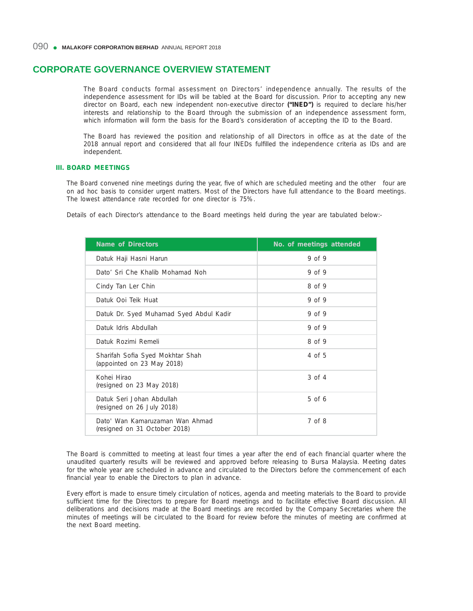The Board conducts formal assessment on Directors' independence annually. The results of the independence assessment for IDs will be tabled at the Board for discussion. Prior to accepting any new director on Board, each new independent non-executive director **("INED")** is required to declare his/her interests and relationship to the Board through the submission of an independence assessment form, which information will form the basis for the Board's consideration of accepting the ID to the Board.

The Board has reviewed the position and relationship of all Directors in office as at the date of the 2018 annual report and considered that all four INEDs fulfilled the independence criteria as IDs and are independent.

# **III. BOARD MEETINGS**

The Board convened nine meetings during the year, five of which are scheduled meeting and the other four are on ad hoc basis to consider urgent matters. Most of the Directors have full attendance to the Board meetings. The lowest attendance rate recorded for one director is 75%.

Details of each Director's attendance to the Board meetings held during the year are tabulated below:-

| <b>Name of Directors</b>                                         | No. of meetings attended |
|------------------------------------------------------------------|--------------------------|
| Datuk Haji Hasni Harun                                           | 9 of 9                   |
| Dato' Sri Che Khalib Mohamad Noh                                 | $9$ of $9$               |
| Cindy Tan Ler Chin                                               | 8 of 9                   |
| Datuk Ooi Teik Huat                                              | $9$ of $9$               |
| Datuk Dr. Syed Muhamad Syed Abdul Kadir                          | $9$ of $9$               |
| Datuk Idris Abdullah                                             | $9$ of $9$               |
| Datuk Rozimi Remeli                                              | 8 of 9                   |
| Sharifah Sofia Syed Mokhtar Shah<br>(appointed on 23 May 2018)   | 4 of $5$                 |
| Kohei Hirao<br>(resigned on 23 May 2018)                         | $3 \text{ of } 4$        |
| Datuk Seri Johan Abdullah<br>(resigned on 26 July 2018)          | $5$ of 6                 |
| Dato' Wan Kamaruzaman Wan Ahmad<br>(resigned on 31 October 2018) | $7 \text{ of } 8$        |

The Board is committed to meeting at least four times a year after the end of each financial quarter where the unaudited quarterly results will be reviewed and approved before releasing to Bursa Malaysia. Meeting dates for the whole year are scheduled in advance and circulated to the Directors before the commencement of each financial year to enable the Directors to plan in advance.

 Every effort is made to ensure timely circulation of notices, agenda and meeting materials to the Board to provide sufficient time for the Directors to prepare for Board meetings and to facilitate effective Board discussion. All deliberations and decisions made at the Board meetings are recorded by the Company Secretaries where the minutes of meetings will be circulated to the Board for review before the minutes of meeting are confirmed at the next Board meeting.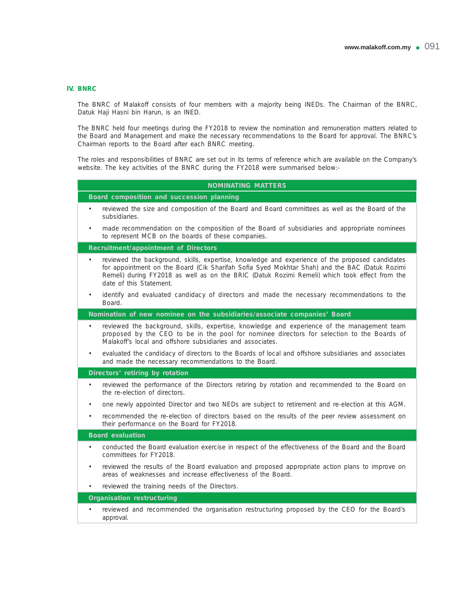# **IV. BNRC**

 The BNRC of Malakoff consists of four members with a majority being INEDs. The Chairman of the BNRC, Datuk Haji Hasni bin Harun, is an INED.

 The BNRC held four meetings during the FY2018 to review the nomination and remuneration matters related to the Board and Management and make the necessary recommendations to the Board for approval. The BNRC's Chairman reports to the Board after each BNRC meeting.

 The roles and responsibilities of BNRC are set out in its terms of reference which are available on the Company's website. The key activities of the BNRC during the FY2018 were summarised below:-

| <b>NOMINATING MATTERS</b>                                                                                                                                                                                                                                                                                                    |  |  |  |  |
|------------------------------------------------------------------------------------------------------------------------------------------------------------------------------------------------------------------------------------------------------------------------------------------------------------------------------|--|--|--|--|
| Board composition and succession planning                                                                                                                                                                                                                                                                                    |  |  |  |  |
| reviewed the size and composition of the Board and Board committees as well as the Board of the<br>٠<br>subsidiaries.                                                                                                                                                                                                        |  |  |  |  |
| made recommendation on the composition of the Board of subsidiaries and appropriate nominees<br>$\bullet$<br>to represent MCB on the boards of these companies.                                                                                                                                                              |  |  |  |  |
| <b>Recruitment/appointment of Directors</b>                                                                                                                                                                                                                                                                                  |  |  |  |  |
| reviewed the background, skills, expertise, knowledge and experience of the proposed candidates<br>for appointment on the Board (Cik Sharifah Sofia Syed Mokhtar Shah) and the BAC (Datuk Rozimi<br>Remeli) during FY2018 as well as on the BRIC (Datuk Rozimi Remeli) which took effect from the<br>date of this Statement. |  |  |  |  |
| identify and evaluated candidacy of directors and made the necessary recommendations to the<br>$\bullet$<br>Board.                                                                                                                                                                                                           |  |  |  |  |
| Nomination of new nominee on the subsidiaries/associate companies' Board                                                                                                                                                                                                                                                     |  |  |  |  |
| reviewed the background, skills, expertise, knowledge and experience of the management team<br>$\bullet$<br>proposed by the CEO to be in the pool for nominee directors for selection to the Boards of<br>Malakoff's local and offshore subsidiaries and associates.                                                         |  |  |  |  |
| evaluated the candidacy of directors to the Boards of local and offshore subsidiaries and associates<br>$\bullet$<br>and made the necessary recommendations to the Board.                                                                                                                                                    |  |  |  |  |
| Directors' retiring by rotation                                                                                                                                                                                                                                                                                              |  |  |  |  |
| reviewed the performance of the Directors retiring by rotation and recommended to the Board on<br>$\bullet$<br>the re-election of directors.                                                                                                                                                                                 |  |  |  |  |
| one newly appointed Director and two NEDs are subject to retirement and re-election at this AGM.<br>$\bullet$                                                                                                                                                                                                                |  |  |  |  |
| recommended the re-election of directors based on the results of the peer review assessment on<br>their performance on the Board for FY2018.                                                                                                                                                                                 |  |  |  |  |
| <b>Board evaluation</b>                                                                                                                                                                                                                                                                                                      |  |  |  |  |
| conducted the Board evaluation exercise in respect of the effectiveness of the Board and the Board<br>٠<br>committees for EY2018                                                                                                                                                                                             |  |  |  |  |
| reviewed the results of the Board evaluation and proposed appropriate action plans to improve on<br>۰<br>areas of weaknesses and increase effectiveness of the Board.                                                                                                                                                        |  |  |  |  |
| reviewed the training needs of the Directors.<br>$\bullet$                                                                                                                                                                                                                                                                   |  |  |  |  |
| <b>Organisation restructuring</b>                                                                                                                                                                                                                                                                                            |  |  |  |  |
| reviewed and recommended the organisation restructuring proposed by the CEO for the Board's<br>$\bullet$<br>approval.                                                                                                                                                                                                        |  |  |  |  |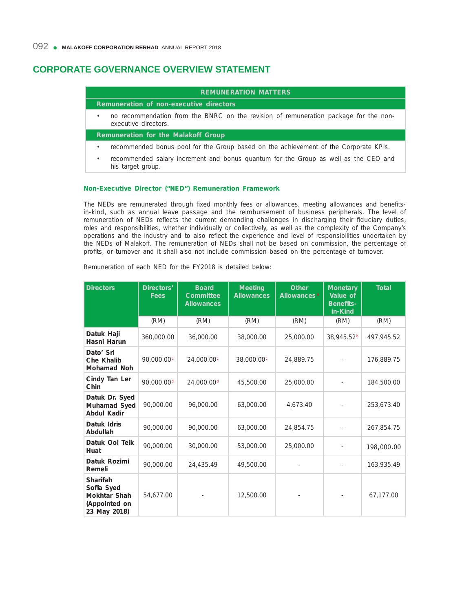# **REMUNERATION MATTERS Remuneration of non-executive directors** • no recommendation from the BNRC on the revision of remuneration package for the nonexecutive directors. **Remuneration for the Malakoff Group** • recommended bonus pool for the Group based on the achievement of the Corporate KPIs.

• recommended salary increment and bonus quantum for the Group as well as the CEO and his target group.

## **Non-Executive Director ("NED") Remuneration Framework**

The NEDs are remunerated through fixed monthly fees or allowances, meeting allowances and benefitsin-kind, such as annual leave passage and the reimbursement of business peripherals. The level of remuneration of NEDs reflects the current demanding challenges in discharging their fiduciary duties, roles and responsibilities, whether individually or collectively, as well as the complexity of the Company's operations and the industry and to also reflect the experience and level of responsibilities undertaken by the NEDs of Malakoff. The remuneration of NEDs shall not be based on commission, the percentage of profits, or turnover and it shall also not include commission based on the percentage of turnover.

| <b>Directors</b>                                                        | Directors'<br><b>Fees</b> | <b>Board</b><br>Committee<br><b>Allowances</b> | <b>Meeting</b><br><b>Allowances</b> | <b>Other</b><br>Allowances <sup>a</sup> | <b>Monetary</b><br>Value of<br><b>Benefits-</b><br>in-Kind | <b>Total</b> |
|-------------------------------------------------------------------------|---------------------------|------------------------------------------------|-------------------------------------|-----------------------------------------|------------------------------------------------------------|--------------|
|                                                                         | (RM)                      | (RM)                                           | (RM)                                | (RM)                                    | (RM)                                                       | (RM)         |
| Datuk Haji<br>Hasni Harun                                               | 360,000.00                | 36,000.00                                      | 38,000.00                           | 25,000.00                               | 38,945.52 <sup>b</sup>                                     | 497,945.52   |
| Dato' Sri<br>Che Khalib<br><b>Mohamad Noh</b>                           | 90,000.00 <sup>c</sup>    | 24,000.00 <sup>c</sup>                         | 38,000.00 <sup>c</sup>              | 24,889.75                               |                                                            | 176,889.75   |
| Cindy Tan Ler<br>Chin                                                   | 90,000.00 <sup>d</sup>    | 24,000.00 <sup>d</sup>                         | 45,500.00                           | 25,000.00                               |                                                            | 184,500.00   |
| Datuk Dr. Syed<br>Muhamad Syed<br><b>Abdul Kadir</b>                    | 90,000.00                 | 96,000.00                                      | 63,000.00                           | 4,673.40                                |                                                            | 253,673.40   |
| Datuk Idris<br>Abdullah                                                 | 90,000.00                 | 90,000.00                                      | 63,000.00                           | 24,854.75                               |                                                            | 267,854.75   |
| Datuk Ooi Teik<br>Huat                                                  | 90,000.00                 | 30,000.00                                      | 53,000.00                           | 25,000.00                               |                                                            | 198,000.00   |
| Datuk Rozimi<br>Remeli                                                  | 90,000.00                 | 24,435.49                                      | 49,500.00                           |                                         |                                                            | 163,935.49   |
| Sharifah<br>Sofia Syed<br>Mokhtar Shah<br>(Appointed on<br>23 May 2018) | 54,677.00                 |                                                | 12,500.00                           |                                         |                                                            | 67,177.00    |

Remuneration of each NED for the FY2018 is detailed below: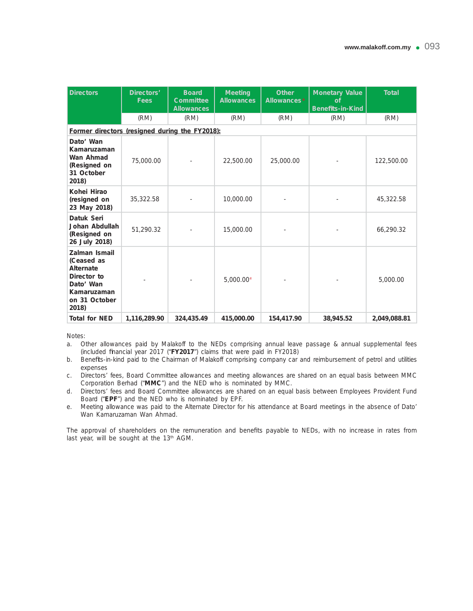| <b>Directors</b>                                                                                              | Directors'<br><b>Fees</b> | <b>Board</b><br>Committee<br><b>Allowances</b> | <b>Meeting</b><br><b>Allowances</b> | <b>Other</b><br>Allowances <sup>a</sup> | <b>Monetary Value</b><br>of<br><b>Benefits-in-Kind</b> | <b>Total</b> |
|---------------------------------------------------------------------------------------------------------------|---------------------------|------------------------------------------------|-------------------------------------|-----------------------------------------|--------------------------------------------------------|--------------|
|                                                                                                               | (RM)                      | (RM)                                           | (RM)                                | (RM)                                    | (RM)                                                   | (RM)         |
| Former directors (resigned during the FY2018):                                                                |                           |                                                |                                     |                                         |                                                        |              |
| Dato' Wan<br>Kamaruzaman<br>Wan Ahmad<br>(Resigned on<br>31 October<br>2018)                                  | 75,000.00                 |                                                | 22,500.00                           | 25,000.00                               |                                                        | 122,500.00   |
| Kohei Hirao<br>(resigned on<br>23 May 2018)                                                                   | 35,322.58                 |                                                | 10,000.00                           |                                         |                                                        | 45,322.58    |
| Datuk Seri<br>Johan Abdullah<br>(Resigned on<br>26 July 2018)                                                 | 51,290.32                 |                                                | 15,000.00                           |                                         |                                                        | 66,290.32    |
| Zalman Ismail<br>(Ceased as<br>Alternate<br>Director to<br>Dato' Wan<br>Kamaruzaman<br>on 31 October<br>2018) |                           |                                                | $5,000.00$ <sup>e</sup>             |                                         |                                                        | 5,000.00     |
| <b>Total for NED</b>                                                                                          | 1,116,289.90              | 324,435.49                                     | 415,000.00                          | 154,417.90                              | 38,945.52                                              | 2,049,088.81 |

*Notes:*

- *a. Other allowances paid by Malakoff to the NEDs comprising annual leave passage & annual supplemental fees (included fi nancial year 2017 ("***FY2017***") claims that were paid in FY2018)*
- *b. Benefi ts-in-kind paid to the Chairman of Malakoff comprising company car and reimbursement of petrol and utilities expenses*
- *c. Directors' fees, Board Committee allowances and meeting allowances are shared on an equal basis between MMC Corporation Berhad ("***MMC***") and the NED who is nominated by MMC.*
- *d. Directors' fees and Board Committee allowances are shared on an equal basis between Employees Provident Fund Board ("EPF") and the NED who is nominated by EPF.*
- *e. Meeting allowance was paid to the Alternate Director for his attendance at Board meetings in the absence of Dato' Wan Kamaruzaman Wan Ahmad.*

The approval of shareholders on the remuneration and benefits payable to NEDs, with no increase in rates from last year, will be sought at the 13th AGM.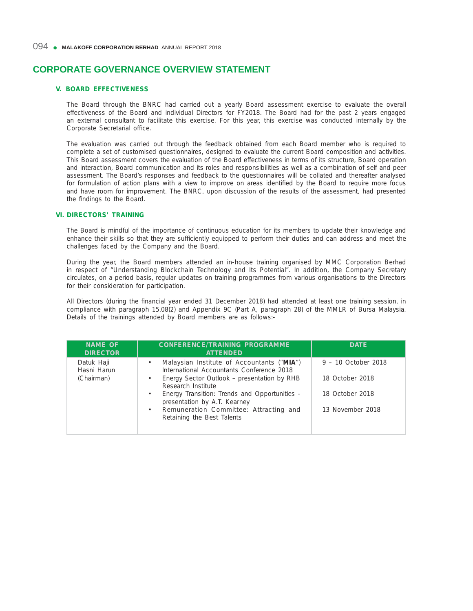# 094 • MALAKOFF CORPORATION BERHAD ANNUAL REPORT 2018

# **CORPORATE GOVERNANCE OVERVIEW STATEMENT**

# **V. BOARD EFFECTIVENESS**

 The Board through the BNRC had carried out a yearly Board assessment exercise to evaluate the overall effectiveness of the Board and individual Directors for FY2018. The Board had for the past 2 years engaged an external consultant to facilitate this exercise. For this year, this exercise was conducted internally by the Corporate Secretarial office.

 The evaluation was carried out through the feedback obtained from each Board member who is required to complete a set of customised questionnaires, designed to evaluate the current Board composition and activities. This Board assessment covers the evaluation of the Board effectiveness in terms of its structure, Board operation and interaction, Board communication and its roles and responsibilities as well as a combination of self and peer assessment. The Board's responses and feedback to the questionnaires will be collated and thereafter analysed for formulation of action plans with a view to improve on areas identified by the Board to require more focus and have room for improvement. The BNRC, upon discussion of the results of the assessment, had presented the findings to the Board.

## **VI. DIRECTORS' TRAINING**

 The Board is mindful of the importance of continuous education for its members to update their knowledge and enhance their skills so that they are sufficiently equipped to perform their duties and can address and meet the challenges faced by the Company and the Board.

 During the year, the Board members attended an in-house training organised by MMC Corporation Berhad in respect of "Understanding Blockchain Technology and Its Potential". In addition, the Company Secretary circulates, on a period basis, regular updates on training programmes from various organisations to the Directors for their consideration for participation.

All Directors (during the financial year ended 31 December 2018) had attended at least one training session, in compliance with paragraph 15.08(2) and Appendix 9C (Part A, paragraph 28) of the MMLR of Bursa Malaysia. Details of the trainings attended by Board members are as follows:-

| <b>NAME OF</b><br><b>DIRECTOR</b> | <b>CONFERENCE/TRAINING PROGRAMME</b><br><b>ATTENDED</b>                                              | <b>DATE</b>           |
|-----------------------------------|------------------------------------------------------------------------------------------------------|-----------------------|
| Datuk Haji<br>Hasni Harun         | Malaysian Institute of Accountants ("MIA")<br>$\bullet$<br>International Accountants Conference 2018 | $9 - 10$ October 2018 |
| (Chairman)                        | Energy Sector Outlook – presentation by RHB<br>$\bullet$<br>Research Institute                       | 18 October 2018       |
|                                   | Energy Transition: Trends and Opportunities -<br>$\bullet$<br>presentation by A.T. Kearney           | 18 October 2018       |
|                                   | Remuneration Committee: Attracting and<br>$\bullet$<br>Retaining the Best Talents                    | 13 November 2018      |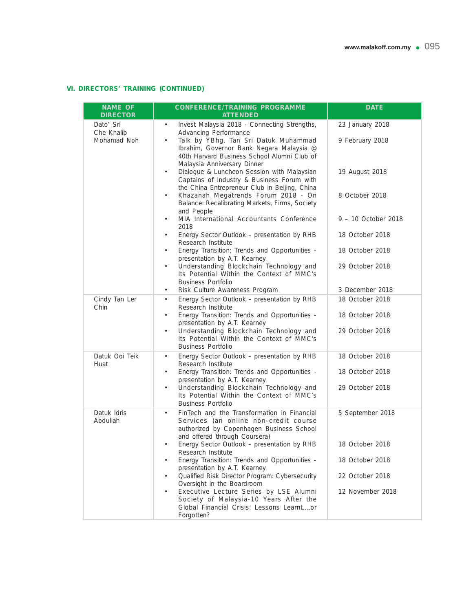# **VI. DIRECTORS' TRAINING (CONTINUED)**

| <b>NAME OF</b><br><b>DIRECTOR</b> | <b>CONFERENCE/TRAINING PROGRAMME</b><br><b>ATTENDED</b>                                                                                                                        | <b>DATE</b>         |  |
|-----------------------------------|--------------------------------------------------------------------------------------------------------------------------------------------------------------------------------|---------------------|--|
| Dato' Sri<br>Che Khalib           | Invest Malaysia 2018 - Connecting Strengths,<br>$\bullet$<br>Advancing Performance                                                                                             | 23 January 2018     |  |
| Mohamad Noh                       | Talk by YBhg. Tan Sri Datuk Muhammad<br>$\bullet$<br>Ibrahim, Governor Bank Negara Malaysia @<br>40th Harvard Business School Alumni Club of<br>Malaysia Anniversary Dinner    | 9 February 2018     |  |
|                                   | Dialogue & Luncheon Session with Malaysian<br>$\bullet$<br>Captains of Industry & Business Forum with<br>the China Entrepreneur Club in Beijing, China                         | 19 August 2018      |  |
|                                   | Khazanah Megatrends Forum 2018 - On<br>$\bullet$<br>Balance: Recalibrating Markets, Firms, Society<br>and People                                                               | 8 October 2018      |  |
|                                   | MIA International Accountants Conference<br>$\bullet$<br>2018                                                                                                                  | 9 - 10 October 2018 |  |
|                                   | Energy Sector Outlook - presentation by RHB<br>٠<br>Research Institute                                                                                                         | 18 October 2018     |  |
|                                   | Energy Transition: Trends and Opportunities -<br>$\bullet$<br>presentation by A.T. Kearney                                                                                     | 18 October 2018     |  |
|                                   | Understanding Blockchain Technology and<br>Its Potential Within the Context of MMC's<br><b>Business Portfolio</b>                                                              | 29 October 2018     |  |
|                                   | Risk Culture Awareness Program<br>$\bullet$                                                                                                                                    | 3 December 2018     |  |
| Cindy Tan Ler<br>Chin             | Energy Sector Outlook - presentation by RHB<br>$\bullet$<br>Research Institute                                                                                                 | 18 October 2018     |  |
|                                   | Energy Transition: Trends and Opportunities -<br>$\bullet$<br>presentation by A.T. Kearney                                                                                     | 18 October 2018     |  |
|                                   | Understanding Blockchain Technology and<br>٠<br>Its Potential Within the Context of MMC's<br><b>Business Portfolio</b>                                                         | 29 October 2018     |  |
| Datuk Ooi Teik<br>Huat            | Energy Sector Outlook - presentation by RHB<br>$\bullet$<br>Research Institute                                                                                                 | 18 October 2018     |  |
|                                   | Energy Transition: Trends and Opportunities -<br>$\bullet$<br>presentation by A.T. Kearney                                                                                     | 18 October 2018     |  |
|                                   | Understanding Blockchain Technology and<br>٠<br>Its Potential Within the Context of MMC's<br><b>Business Portfolio</b>                                                         | 29 October 2018     |  |
| Datuk Idris<br>Abdullah           | FinTech and the Transformation in Financial<br>$\bullet$<br>Services (an online non-credit course<br>authorized by Copenhagen Business School<br>and offered through Coursera) | 5 September 2018    |  |
|                                   | Energy Sector Outlook - presentation by RHB<br>Research Institute                                                                                                              | 18 October 2018     |  |
|                                   | Energy Transition: Trends and Opportunities -<br>presentation by A.T. Kearney                                                                                                  | 18 October 2018     |  |
|                                   | Qualified Risk Director Program: Cybersecurity<br>Oversight in the Boardroom                                                                                                   | 22 October 2018     |  |
|                                   | Executive Lecture Series by LSE Alumni<br>$\bullet$<br>Society of Malaysia-10 Years After the<br>Global Financial Crisis: Lessons Learntor<br>Forgotten?                       | 12 November 2018    |  |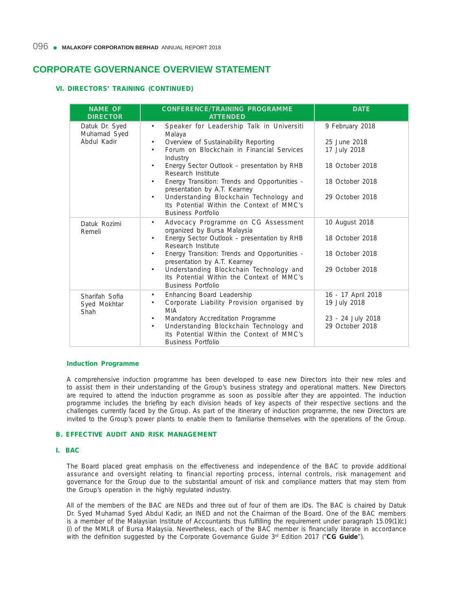# **VI. DIRECTORS' TRAINING (CONTINUED)**

| <b>NAME OF</b><br><b>DIRECTOR</b>             | <b>CONFERENCE/TRAINING PROGRAMME</b><br><b>ATTENDED</b>                                                                                                                          | <b>DATE</b>                          |
|-----------------------------------------------|----------------------------------------------------------------------------------------------------------------------------------------------------------------------------------|--------------------------------------|
| Datuk Dr. Syed<br>Muhamad Syed<br>Abdul Kadir | Speaker for Leadership Talk in Universiti<br>٠<br>Malaya                                                                                                                         | 9 February 2018                      |
|                                               | Overview of Sustainability Reporting<br>$\bullet$<br>Forum on Blockchain in Financial Services<br>$\bullet$<br>Industry                                                          | 25 June 2018<br>17 July 2018         |
|                                               | Energy Sector Outlook - presentation by RHB<br>٠<br>Research Institute                                                                                                           | 18 October 2018                      |
|                                               | Energy Transition: Trends and Opportunities -<br>presentation by A.T. Kearney                                                                                                    | 18 October 2018                      |
|                                               | Understanding Blockchain Technology and<br>$\bullet$<br>Its Potential Within the Context of MMC's<br><b>Business Portfolio</b>                                                   | 29 October 2018                      |
| Datuk Rozimi<br>Remeli                        | Advocacy Programme on CG Assessment<br>$\bullet$<br>organized by Bursa Malaysia                                                                                                  | 10 August 2018                       |
|                                               | Energy Sector Outlook - presentation by RHB<br>$\bullet$<br>Research Institute                                                                                                   | 18 October 2018                      |
|                                               | Energy Transition: Trends and Opportunities -<br>$\bullet$<br>presentation by A.T. Kearney                                                                                       | 18 October 2018                      |
|                                               | Understanding Blockchain Technology and<br>$\bullet$<br>Its Potential Within the Context of MMC's<br><b>Business Portfolio</b>                                                   | 29 October 2018                      |
| Sharifah Sofia<br>Syed Mokhtar<br>Shah        | Enhancing Board Leadership<br>٠<br>Corporate Liability Provision organised by<br>$\bullet$<br><b>MIA</b>                                                                         | 16 - 17 April 2018<br>19 July 2018   |
|                                               | Mandatory Accreditation Programme<br>$\bullet$<br>Understanding Blockchain Technology and<br>$\bullet$<br>Its Potential Within the Context of MMC's<br><b>Business Portfolio</b> | 23 - 24 July 2018<br>29 October 2018 |

#### **Induction Programme**

 A comprehensive induction programme has been developed to ease new Directors into their new roles and to assist them in their understanding of the Group's business strategy and operational matters. New Directors are required to attend the induction programme as soon as possible after they are appointed. The induction programme includes the briefing by each division heads of key aspects of their respective sections and the challenges currently faced by the Group. As part of the itinerary of induction programme, the new Directors are invited to the Group's power plants to enable them to familiarise themselves with the operations of the Group.

# **B. EFFECTIVE AUDIT AND RISK MANAGEMENT**

#### **I. BAC**

 The Board placed great emphasis on the effectiveness and independence of the BAC to provide additional assurance and oversight relating to financial reporting process, internal controls, risk management and governance for the Group due to the substantial amount of risk and compliance matters that may stem from the Group's operation in the highly regulated industry.

 All of the members of the BAC are NEDs and three out of four of them are IDs. The BAC is chaired by Datuk Dr. Syed Muhamad Syed Abdul Kadir, an INED and not the Chairman of the Board. One of the BAC members is a member of the Malaysian Institute of Accountants thus fulfilling the requirement under paragraph 15.09(1)(c) (i) of the MMLR of Bursa Malaysia. Nevertheless, each of the BAC member is financially literate in accordance with the definition suggested by the Corporate Governance Guide 3<sup>rd</sup> Edition 2017 ("CG Guide").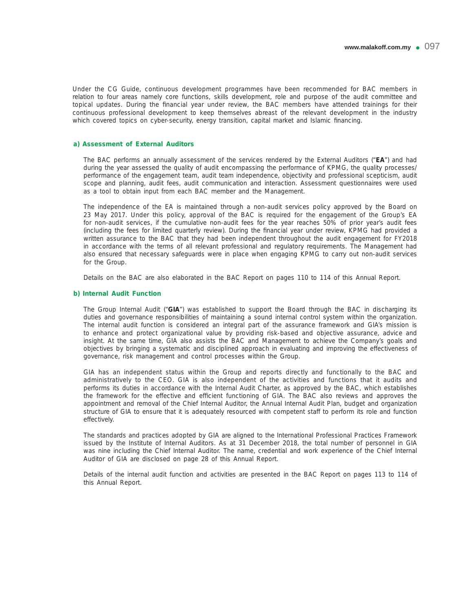Under the CG Guide, continuous development programmes have been recommended for BAC members in relation to four areas namely core functions, skills development, role and purpose of the audit committee and topical updates. During the financial year under review, the BAC members have attended trainings for their continuous professional development to keep themselves abreast of the relevant development in the industry which covered topics on cyber-security, energy transition, capital market and Islamic financing.

### **a) Assessment of External Auditors**

 The BAC performs an annually assessment of the services rendered by the External Auditors ("**EA**") and had during the year assessed the quality of audit encompassing the performance of KPMG, the quality processes/ performance of the engagement team, audit team independence, objectivity and professional scepticism, audit scope and planning, audit fees, audit communication and interaction. Assessment questionnaires were used as a tool to obtain input from each BAC member and the Management.

 The independence of the EA is maintained through a non-audit services policy approved by the Board on 23 May 2017. Under this policy, approval of the BAC is required for the engagement of the Group's EA for non-audit services, if the cumulative non-audit fees for the year reaches 50% of prior year's audit fees (including the fees for limited quarterly review). During the financial year under review, KPMG had provided a written assurance to the BAC that they had been independent throughout the audit engagement for FY2018 in accordance with the terms of all relevant professional and regulatory requirements. The Management had also ensured that necessary safeguards were in place when engaging KPMG to carry out non-audit services for the Group.

Details on the BAC are also elaborated in the BAC Report on pages 110 to 114 of this Annual Report.

## **b) Internal Audit Function**

 The Group Internal Audit ("**GIA**") was established to support the Board through the BAC in discharging its duties and governance responsibilities of maintaining a sound internal control system within the organization. The internal audit function is considered an integral part of the assurance framework and GIA's mission is to enhance and protect organizational value by providing risk-based and objective assurance, advice and insight. At the same time, GIA also assists the BAC and Management to achieve the Company's goals and objectives by bringing a systematic and disciplined approach in evaluating and improving the effectiveness of governance, risk management and control processes within the Group.

 GIA has an independent status within the Group and reports directly and functionally to the BAC and administratively to the CEO. GIA is also independent of the activities and functions that it audits and performs its duties in accordance with the Internal Audit Charter, as approved by the BAC, which establishes the framework for the effective and efficient functioning of GIA. The BAC also reviews and approves the appointment and removal of the Chief Internal Auditor, the Annual Internal Audit Plan, budget and organization structure of GIA to ensure that it is adequately resourced with competent staff to perform its role and function effectively.

 The standards and practices adopted by GIA are aligned to the International Professional Practices Framework issued by the Institute of Internal Auditors. As at 31 December 2018, the total number of personnel in GIA was nine including the Chief Internal Auditor. The name, credential and work experience of the Chief Internal Auditor of GIA are disclosed on page 28 of this Annual Report.

 Details of the internal audit function and activities are presented in the BAC Report on pages 113 to 114 of this Annual Report.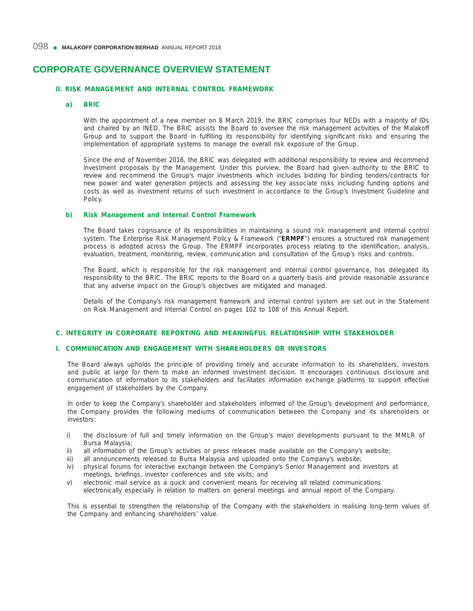# **II. RISK MANAGEMENT AND INTERNAL CONTROL FRAMEWORK**

## **a) BRIC**

With the appointment of a new member on 8 March 2019, the BRIC comprises four NEDs with a majority of IDs and chaired by an INED. The BRIC assists the Board to oversee the risk management activities of the Malakoff Group and to support the Board in fulfilling its responsibility for identifying significant risks and ensuring the implementation of appropriate systems to manage the overall risk exposure of the Group.

 Since the end of November 2016, the BRIC was delegated with additional responsibility to review and recommend investment proposals by the Management. Under this purview, the Board had given authority to the BRIC to review and recommend the Group's major investments which includes bidding for binding tenders/contracts for new power and water generation projects and assessing the key associate risks including funding options and costs as well as investment returns of such investment in accordance to the Group's Investment Guideline and Policy.

### **b) Risk Management and Internal Control Framework**

 The Board takes cognisance of its responsibilities in maintaining a sound risk management and internal control system. The Enterprise Risk Management Policy & Framework ("**ERMPF**") ensures a structured risk management process is adopted across the Group. The ERMPF incorporates process relating to the identification, analysis, evaluation, treatment, monitoring, review, communication and consultation of the Group's risks and controls.

 The Board, which is responsible for the risk management and internal control governance, has delegated its responsibility to the BRIC. The BRIC reports to the Board on a quarterly basis and provide reasonable assurance that any adverse impact on the Group's objectives are mitigated and managed.

 Details of the Company's risk management framework and internal control system are set out in the Statement on Risk Management and Internal Control on pages 102 to 108 of this Annual Report.

#### **C. INTEGRITY IN CORPORATE REPORTING AND MEANINGFUL RELATIONSHIP WITH STAKEHOLDER**

# **I. COMMUNICATION AND ENGAGEMENT WITH SHAREHOLDERS OR INVESTORS**

 The Board always upholds the principle of providing timely and accurate information to its shareholders, investors and public at large for them to make an informed investment decision. It encourages continuous disclosure and communication of information to its stakeholders and facilitates information exchange platforms to support effective engagement of stakeholders by the Company.

 In order to keep the Company's shareholder and stakeholders informed of the Group's development and performance, the Company provides the following mediums of communication between the Company and its shareholders or investors:

- i) the disclosure of full and timely information on the Group's major developments pursuant to the MMLR of Bursa Malaysia;
- ii) all information of the Group's activities or press releases made available on the Company's website;
- iii) all announcements released to Bursa Malaysia and uploaded onto the Company's website;
- iv) physical forums for interactive exchange between the Company's Senior Management and investors at meetings, briefings, investor conferences and site visits; and
- v) electronic mail service as a quick and convenient means for receiving all related communications electronically especially in relation to matters on general meetings and annual report of the Company.

 This is essential to strengthen the relationship of the Company with the stakeholders in realising long-term values of the Company and enhancing shareholders' value.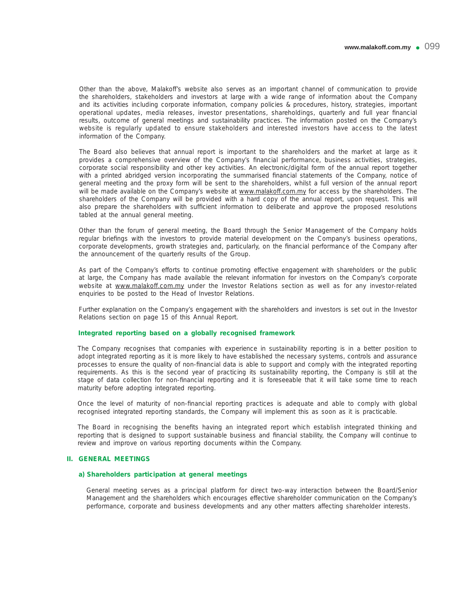Other than the above, Malakoff's website also serves as an important channel of communication to provide the shareholders, stakeholders and investors at large with a wide range of information about the Company and its activities including corporate information, company policies & procedures, history, strategies, important operational updates, media releases, investor presentations, shareholdings, quarterly and full year financial results, outcome of general meetings and sustainability practices. The information posted on the Company's website is regularly updated to ensure stakeholders and interested investors have access to the latest information of the Company.

 The Board also believes that annual report is important to the shareholders and the market at large as it provides a comprehensive overview of the Company's financial performance, business activities, strategies, corporate social responsibility and other key activities. An electronic/digital form of the annual report together with a printed abridged version incorporating the summarised financial statements of the Company, notice of general meeting and the proxy form will be sent to the shareholders, whilst a full version of the annual report will be made available on the Company's website at www.malakoff.com.my for access by the shareholders. The shareholders of the Company will be provided with a hard copy of the annual report, upon request. This will also prepare the shareholders with sufficient information to deliberate and approve the proposed resolutions tabled at the annual general meeting.

Other than the forum of general meeting, the Board through the Senior Management of the Company holds regular briefings with the investors to provide material development on the Company's business operations, corporate developments, growth strategies and, particularly, on the financial performance of the Company after the announcement of the quarterly results of the Group.

As part of the Company's efforts to continue promoting effective engagement with shareholders or the public at large, the Company has made available the relevant information for investors on the Company's corporate website at www.malakoff.com.my under the Investor Relations section as well as for any investor-related enquiries to be posted to the Head of Investor Relations.

Further explanation on the Company's engagement with the shareholders and investors is set out in the Investor Relations section on page 15 of this Annual Report.

## Integrated reporting based on a globally recognised framework

 The Company recognises that companies with experience in sustainability reporting is in a better position to adopt integrated reporting as it is more likely to have established the necessary systems, controls and assurance processes to ensure the quality of non-financial data is able to support and comply with the integrated reporting requirements. As this is the second year of practicing its sustainability reporting, the Company is still at the stage of data collection for non-financial reporting and it is foreseeable that it will take some time to reach maturity before adopting integrated reporting.

Once the level of maturity of non-financial reporting practices is adequate and able to comply with global recognised integrated reporting standards, the Company will implement this as soon as it is practicable.

The Board in recognising the benefits having an integrated report which establish integrated thinking and reporting that is designed to support sustainable business and financial stability, the Company will continue to review and improve on various reporting documents within the Company.

### **II. GENERAL MEETINGS**

## **a) Shareholders participation at general meetings**

 General meeting serves as a principal platform for direct two-way interaction between the Board/Senior Management and the shareholders which encourages effective shareholder communication on the Company's performance, corporate and business developments and any other matters affecting shareholder interests.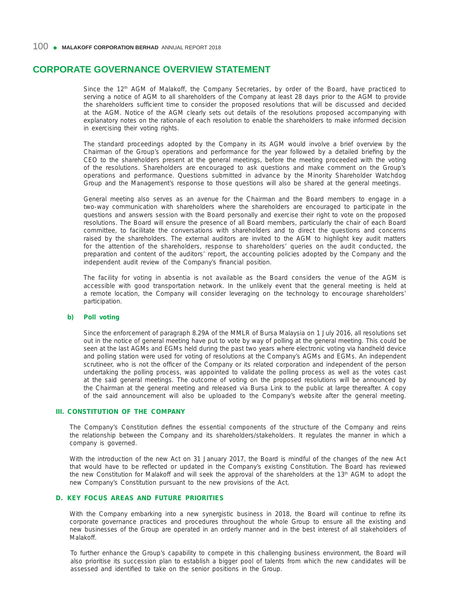Since the 12<sup>th</sup> AGM of Malakoff, the Company Secretaries, by order of the Board, have practiced to serving a notice of AGM to all shareholders of the Company at least 28 days prior to the AGM to provide the shareholders sufficient time to consider the proposed resolutions that will be discussed and decided at the AGM. Notice of the AGM clearly sets out details of the resolutions proposed accompanying with explanatory notes on the rationale of each resolution to enable the shareholders to make informed decision in exercising their voting rights.

 The standard proceedings adopted by the Company in its AGM would involve a brief overview by the Chairman of the Group's operations and performance for the year followed by a detailed briefing by the CEO to the shareholders present at the general meetings, before the meeting proceeded with the voting of the resolutions. Shareholders are encouraged to ask questions and make comment on the Group's operations and performance. Questions submitted in advance by the Minority Shareholder Watchdog Group and the Management's response to those questions will also be shared at the general meetings.

 General meeting also serves as an avenue for the Chairman and the Board members to engage in a two-way communication with shareholders where the shareholders are encouraged to participate in the questions and answers session with the Board personally and exercise their right to vote on the proposed resolutions. The Board will ensure the presence of all Board members, particularly the chair of each Board committee, to facilitate the conversations with shareholders and to direct the questions and concerns raised by the shareholders. The external auditors are invited to the AGM to highlight key audit matters for the attention of the shareholders, response to shareholders' queries on the audit conducted, the preparation and content of the auditors' report, the accounting policies adopted by the Company and the independent audit review of the Company's financial position.

 The facility for voting in absentia is not available as the Board considers the venue of the AGM is accessible with good transportation network. In the unlikely event that the general meeting is held at a remote location, the Company will consider leveraging on the technology to encourage shareholders' participation.

## **b)** Poll voting

 Since the enforcement of paragraph 8.29A of the MMLR of Bursa Malaysia on 1 July 2016, all resolutions set out in the notice of general meeting have put to vote by way of polling at the general meeting. This could be seen at the last AGMs and EGMs held during the past two years where electronic voting via handheld device and polling station were used for voting of resolutions at the Company's AGMs and EGMs. An independent scrutineer, who is not the officer of the Company or its related corporation and independent of the person undertaking the polling process, was appointed to validate the polling process as well as the votes cast at the said general meetings. The outcome of voting on the proposed resolutions will be announced by the Chairman at the general meeting and released via Bursa Link to the public at large thereafter. A copy of the said announcement will also be uploaded to the Company's website after the general meeting.

### **III. CONSTITUTION OF THE COMPANY**

The Company's Constitution defines the essential components of the structure of the Company and reins the relationship between the Company and its shareholders/stakeholders. It regulates the manner in which a company is governed.

 With the introduction of the new Act on 31 January 2017, the Board is mindful of the changes of the new Act that would have to be reflected or updated in the Company's existing Constitution. The Board has reviewed the new Constitution for Malakoff and will seek the approval of the shareholders at the 13th AGM to adopt the new Company's Constitution pursuant to the new provisions of the Act.

## **D. K EY FOCUS AREAS AND FUTURE PRIORITIES**

With the Company embarking into a new synergistic business in 2018, the Board will continue to refine its corporate governance practices and procedures throughout the whole Group to ensure all the existing and new businesses of the Group are operated in an orderly manner and in the best interest of all stakeholders of Malakoff.

 To further enhance the Group's capability to compete in this challenging business environment, the Board will also prioritise its succession plan to establish a bigger pool of talents from which the new candidates will be assessed and identified to take on the senior positions in the Group.